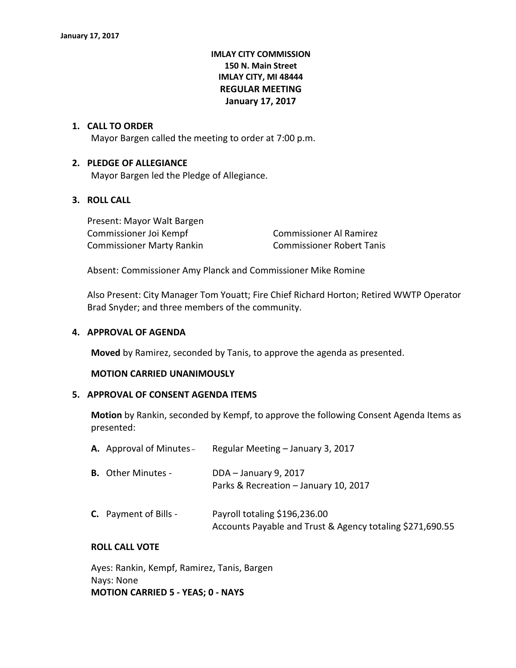# **IMLAY CITY COMMISSION 150 N. Main Street IMLAY CITY, MI 48444 REGULAR MEETING January 17, 2017**

#### **1. CALL TO ORDER**

Mayor Bargen called the meeting to order at 7:00 p.m.

### **2. PLEDGE OF ALLEGIANCE**

Mayor Bargen led the Pledge of Allegiance.

# **3. ROLL CALL**

Present: Mayor Walt Bargen Commissioner Joi Kempf Commissioner Al Ramirez Commissioner Marty Rankin Commissioner Robert Tanis

Absent: Commissioner Amy Planck and Commissioner Mike Romine

Also Present: City Manager Tom Youatt; Fire Chief Richard Horton; Retired WWTP Operator Brad Snyder; and three members of the community.

#### **4. APPROVAL OF AGENDA**

**Moved** by Ramirez, seconded by Tanis, to approve the agenda as presented.

#### **MOTION CARRIED UNANIMOUSLY**

#### **5. APPROVAL OF CONSENT AGENDA ITEMS**

**Motion** by Rankin, seconded by Kempf, to approve the following Consent Agenda Items as presented:

| <b>A.</b> Approval of Minutes – | Regular Meeting - January 3, 2017                                                          |
|---------------------------------|--------------------------------------------------------------------------------------------|
| <b>B.</b> Other Minutes -       | DDA - January 9, 2017<br>Parks & Recreation - January 10, 2017                             |
| <b>C.</b> Payment of Bills -    | Payroll totaling \$196,236.00<br>Accounts Payable and Trust & Agency totaling \$271,690.55 |

# **ROLL CALL VOTE**

Ayes: Rankin, Kempf, Ramirez, Tanis, Bargen Nays: None **MOTION CARRIED 5 - YEAS; 0 - NAYS**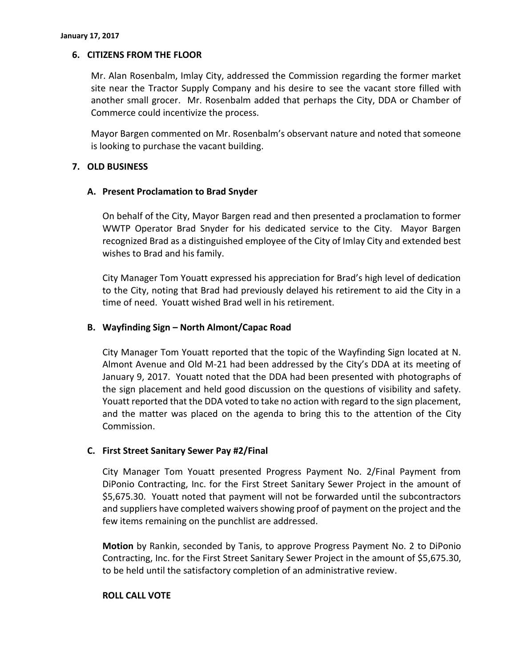# **6. CITIZENS FROM THE FLOOR**

Mr. Alan Rosenbalm, Imlay City, addressed the Commission regarding the former market site near the Tractor Supply Company and his desire to see the vacant store filled with another small grocer. Mr. Rosenbalm added that perhaps the City, DDA or Chamber of Commerce could incentivize the process.

Mayor Bargen commented on Mr. Rosenbalm's observant nature and noted that someone is looking to purchase the vacant building.

## **7. OLD BUSINESS**

## **A. Present Proclamation to Brad Snyder**

On behalf of the City, Mayor Bargen read and then presented a proclamation to former WWTP Operator Brad Snyder for his dedicated service to the City. Mayor Bargen recognized Brad as a distinguished employee of the City of Imlay City and extended best wishes to Brad and his family.

City Manager Tom Youatt expressed his appreciation for Brad's high level of dedication to the City, noting that Brad had previously delayed his retirement to aid the City in a time of need. Youatt wished Brad well in his retirement.

## **B. Wayfinding Sign – North Almont/Capac Road**

City Manager Tom Youatt reported that the topic of the Wayfinding Sign located at N. Almont Avenue and Old M-21 had been addressed by the City's DDA at its meeting of January 9, 2017. Youatt noted that the DDA had been presented with photographs of the sign placement and held good discussion on the questions of visibility and safety. Youatt reported that the DDA voted to take no action with regard to the sign placement, and the matter was placed on the agenda to bring this to the attention of the City Commission.

#### **C. First Street Sanitary Sewer Pay #2/Final**

City Manager Tom Youatt presented Progress Payment No. 2/Final Payment from DiPonio Contracting, Inc. for the First Street Sanitary Sewer Project in the amount of \$5,675.30. Youatt noted that payment will not be forwarded until the subcontractors and suppliers have completed waivers showing proof of payment on the project and the few items remaining on the punchlist are addressed.

**Motion** by Rankin, seconded by Tanis, to approve Progress Payment No. 2 to DiPonio Contracting, Inc. for the First Street Sanitary Sewer Project in the amount of \$5,675.30, to be held until the satisfactory completion of an administrative review.

#### **ROLL CALL VOTE**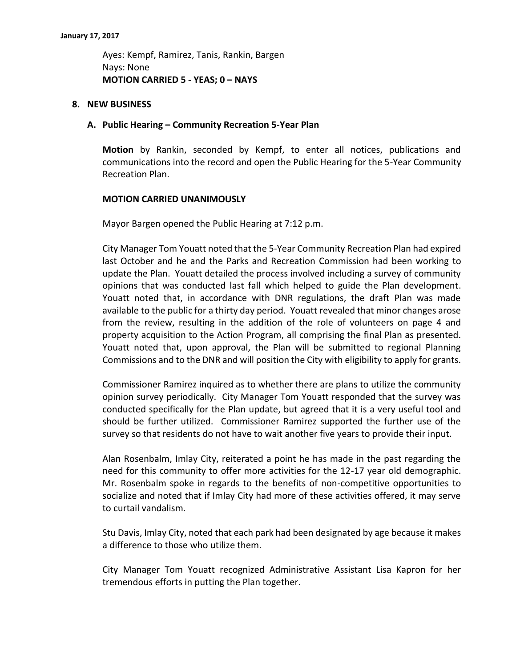Ayes: Kempf, Ramirez, Tanis, Rankin, Bargen Nays: None **MOTION CARRIED 5 - YEAS; 0 – NAYS**

#### **8. NEW BUSINESS**

#### **A. Public Hearing – Community Recreation 5-Year Plan**

**Motion** by Rankin, seconded by Kempf, to enter all notices, publications and communications into the record and open the Public Hearing for the 5-Year Community Recreation Plan.

#### **MOTION CARRIED UNANIMOUSLY**

Mayor Bargen opened the Public Hearing at 7:12 p.m.

City Manager Tom Youatt noted that the 5-Year Community Recreation Plan had expired last October and he and the Parks and Recreation Commission had been working to update the Plan. Youatt detailed the process involved including a survey of community opinions that was conducted last fall which helped to guide the Plan development. Youatt noted that, in accordance with DNR regulations, the draft Plan was made available to the public for a thirty day period. Youatt revealed that minor changes arose from the review, resulting in the addition of the role of volunteers on page 4 and property acquisition to the Action Program, all comprising the final Plan as presented. Youatt noted that, upon approval, the Plan will be submitted to regional Planning Commissions and to the DNR and will position the City with eligibility to apply for grants.

Commissioner Ramirez inquired as to whether there are plans to utilize the community opinion survey periodically. City Manager Tom Youatt responded that the survey was conducted specifically for the Plan update, but agreed that it is a very useful tool and should be further utilized. Commissioner Ramirez supported the further use of the survey so that residents do not have to wait another five years to provide their input.

Alan Rosenbalm, Imlay City, reiterated a point he has made in the past regarding the need for this community to offer more activities for the 12-17 year old demographic. Mr. Rosenbalm spoke in regards to the benefits of non-competitive opportunities to socialize and noted that if Imlay City had more of these activities offered, it may serve to curtail vandalism.

Stu Davis, Imlay City, noted that each park had been designated by age because it makes a difference to those who utilize them.

City Manager Tom Youatt recognized Administrative Assistant Lisa Kapron for her tremendous efforts in putting the Plan together.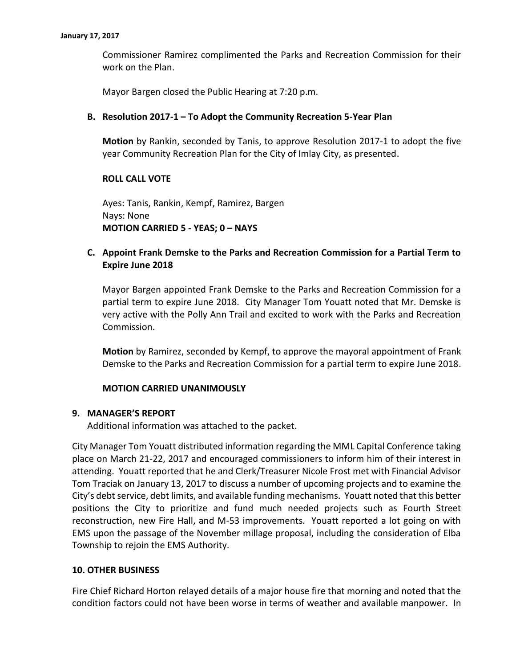Commissioner Ramirez complimented the Parks and Recreation Commission for their work on the Plan.

Mayor Bargen closed the Public Hearing at 7:20 p.m.

### **B. Resolution 2017-1 – To Adopt the Community Recreation 5-Year Plan**

**Motion** by Rankin, seconded by Tanis, to approve Resolution 2017-1 to adopt the five year Community Recreation Plan for the City of Imlay City, as presented.

# **ROLL CALL VOTE**

Ayes: Tanis, Rankin, Kempf, Ramirez, Bargen Nays: None **MOTION CARRIED 5 - YEAS; 0 – NAYS**

# **C. Appoint Frank Demske to the Parks and Recreation Commission for a Partial Term to Expire June 2018**

Mayor Bargen appointed Frank Demske to the Parks and Recreation Commission for a partial term to expire June 2018. City Manager Tom Youatt noted that Mr. Demske is very active with the Polly Ann Trail and excited to work with the Parks and Recreation Commission.

**Motion** by Ramirez, seconded by Kempf, to approve the mayoral appointment of Frank Demske to the Parks and Recreation Commission for a partial term to expire June 2018.

#### **MOTION CARRIED UNANIMOUSLY**

#### **9. MANAGER'S REPORT**

Additional information was attached to the packet.

City Manager Tom Youatt distributed information regarding the MML Capital Conference taking place on March 21-22, 2017 and encouraged commissioners to inform him of their interest in attending. Youatt reported that he and Clerk/Treasurer Nicole Frost met with Financial Advisor Tom Traciak on January 13, 2017 to discuss a number of upcoming projects and to examine the City's debt service, debt limits, and available funding mechanisms. Youatt noted that this better positions the City to prioritize and fund much needed projects such as Fourth Street reconstruction, new Fire Hall, and M-53 improvements. Youatt reported a lot going on with EMS upon the passage of the November millage proposal, including the consideration of Elba Township to rejoin the EMS Authority.

#### **10. OTHER BUSINESS**

Fire Chief Richard Horton relayed details of a major house fire that morning and noted that the condition factors could not have been worse in terms of weather and available manpower. In